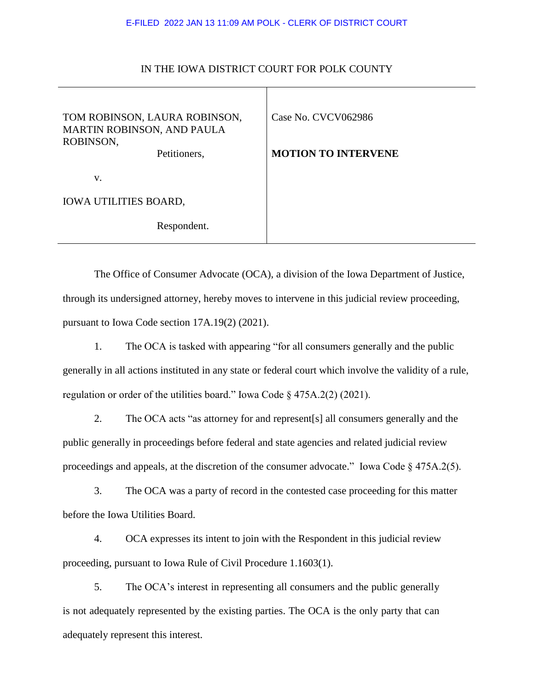## E-FILED 2022 JAN 13 11:09 AM POLK - CLERK OF DISTRICT COURT

| TOM ROBINSON, LAURA ROBINSON,<br>MARTIN ROBINSON, AND PAULA<br>ROBINSON,<br>Petitioners, | Case No. CVCV062986<br><b>MOTION TO INTERVENE</b> |
|------------------------------------------------------------------------------------------|---------------------------------------------------|
| V.                                                                                       |                                                   |
| <b>IOWA UTILITIES BOARD,</b>                                                             |                                                   |
| Respondent.                                                                              |                                                   |

## IN THE IOWA DISTRICT COURT FOR POLK COUNTY

The Office of Consumer Advocate (OCA), a division of the Iowa Department of Justice, through its undersigned attorney, hereby moves to intervene in this judicial review proceeding, pursuant to Iowa Code section 17A.19(2) (2021).

1. The OCA is tasked with appearing "for all consumers generally and the public generally in all actions instituted in any state or federal court which involve the validity of a rule, regulation or order of the utilities board." Iowa Code § 475A.2(2) (2021).

2. The OCA acts "as attorney for and represent[s] all consumers generally and the public generally in proceedings before federal and state agencies and related judicial review proceedings and appeals, at the discretion of the consumer advocate." Iowa Code § 475A.2(5).

3. The OCA was a party of record in the contested case proceeding for this matter before the Iowa Utilities Board.

4. OCA expresses its intent to join with the Respondent in this judicial review proceeding, pursuant to Iowa Rule of Civil Procedure 1.1603(1).

5. The OCA's interest in representing all consumers and the public generally is not adequately represented by the existing parties. The OCA is the only party that can adequately represent this interest.